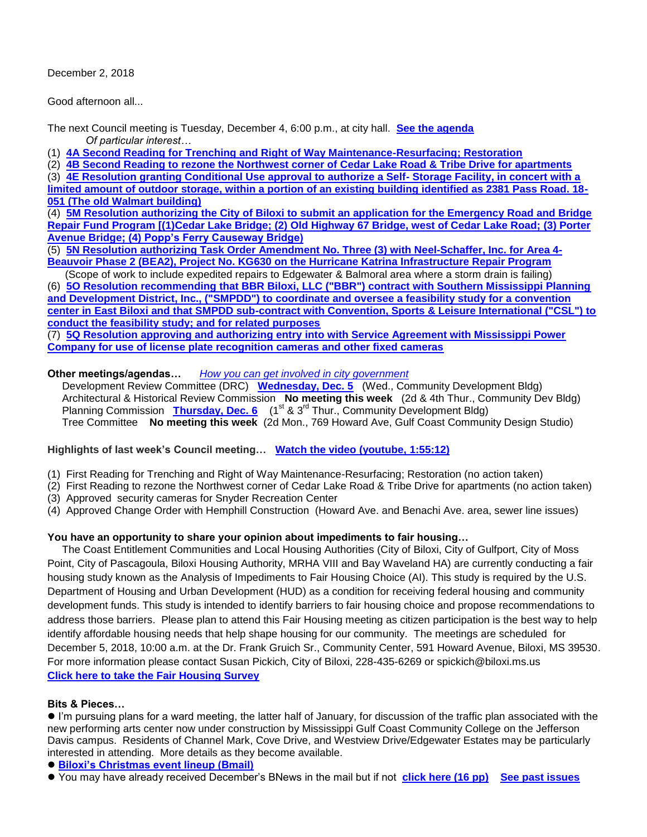December 2, 2018

Good afternoon all...

The next Council meeting is Tuesday, December 4, 6:00 p.m., at city hall. **[See the agenda](https://www.biloxi.ms.us/agendas/citycouncil/2018/120418/120418agenda.pdf)** *Of particular interest…*

(1) **[4A Second Reading for Trenching and Right of Way Maintenance-Resurfacing; Restoration](https://www.biloxi.ms.us/agendas/citycouncil/2018/120418/112718aeng.pdf)**

(2) **[4B Second Reading to rezone the Northwest corner of Cedar Lake Road & Tribe Drive for apartments](https://www.biloxi.ms.us/agendas/citycouncil/2018/120418/112718apc.pdf)**

(3) **[4E Resolution granting Conditional Use approval to authorize a Self-](https://www.biloxi.ms.us/agendas/citycouncil/2018/120418/120418cpc.pdf) Storage Facility, in concert with a [limited amount of outdoor storage, within a portion of an existing building identified as 2381 Pass Road. 18-](https://www.biloxi.ms.us/agendas/citycouncil/2018/120418/120418cpc.pdf) [051 \(The old Walmart building\)](https://www.biloxi.ms.us/agendas/citycouncil/2018/120418/120418cpc.pdf)**

(4) **[5M Resolution authorizing the City of Biloxi to submit an application for the Emergency Road and Bridge](https://www.biloxi.ms.us/agendas/citycouncil/2018/120418/120418ceng.pdf)  Repair Fund Program [(1)Cedar Lake Bridge; (2) Old Highway [67 Bridge, west of Cedar Lake Road; \(3\) Porter](https://www.biloxi.ms.us/agendas/citycouncil/2018/120418/120418ceng.pdf)  [Avenue Bridge; \(4\) Popp's Ferry Causeway Bridge\)](https://www.biloxi.ms.us/agendas/citycouncil/2018/120418/120418ceng.pdf)**

(5) **[5N Resolution authorizing Task Order Amendment No. Three \(3\) with Neel-Schaffer, Inc. for Area 4-](https://www.biloxi.ms.us/agendas/citycouncil/2018/120418/120418deng.pdf) [Beauvoir Phase 2 \(BEA2\), Project No. KG630 on the Hurricane Katrina Infrastructure Repair Program](https://www.biloxi.ms.us/agendas/citycouncil/2018/120418/120418deng.pdf)** 

 (Scope of work to include expedited repairs to Edgewater & Balmoral area where a storm drain is failing) (6) **[5O Resolution recommending that BBR Biloxi, LLC \("BBR"\) contract with Southern Mississippi Planning](https://www.biloxi.ms.us/agendas/citycouncil/2018/120418/120418aleg.pdf)  [and Development District, Inc., \("SMPDD"\) to coordinate and oversee a feasibility study for a convention](https://www.biloxi.ms.us/agendas/citycouncil/2018/120418/120418aleg.pdf)  [center in East Biloxi and that SMPDD sub-contract with Convention, Sports & Leisure International \("CSL"\) to](https://www.biloxi.ms.us/agendas/citycouncil/2018/120418/120418aleg.pdf)  [conduct the feasibility study; and for related purposes](https://www.biloxi.ms.us/agendas/citycouncil/2018/120418/120418aleg.pdf)**

(7) **[5Q Resolution approving and authorizing entry into with Service Agreement with Mississippi Power](https://www.biloxi.ms.us/agendas/citycouncil/2018/120418/120418bcon.pdf)  [Company for use of license plate recognition cameras and other fixed cameras](https://www.biloxi.ms.us/agendas/citycouncil/2018/120418/120418bcon.pdf)**

#### **Other meetings/agendas…** *[How you can get involved in city government](https://www.biloxi.ms.us/residents/public-meetings/)*

 Development Review Committee (DRC) **[Wednesday, Dec. 5](https://www.biloxi.ms.us/agendas/DRC/2018/DRC-2018-12-05.pdf)** (Wed., Community Development Bldg) Architectural & Historical Review Commission **No meeting this week** (2d & 4th Thur., Community Dev Bldg) Planning Commission **[Thursday, Dec. 6](https://www.biloxi.ms.us/agendas/planning/2018/PC-12-06-18.pdf)** (1<sup>st</sup> & 3<sup>rd</sup> Thur., Community Development Bldg) Tree Committee **No meeting this week** (2d Mon., 769 Howard Ave, Gulf Coast Community Design Studio)

# **Highlights of last week's Council meeting… [Watch the video \(youtube, 1:55:12\)](https://www.youtube.com/watch?v=wCpWcrXZkPo)**

- (1) First Reading for Trenching and Right of Way Maintenance-Resurfacing; Restoration (no action taken)
- (2) First Reading to rezone the Northwest corner of Cedar Lake Road & Tribe Drive for apartments (no action taken)
- (3) Approved security cameras for Snyder Recreation Center
- (4) Approved Change Order with Hemphill Construction (Howard Ave. and Benachi Ave. area, sewer line issues)

# **You have an opportunity to share your opinion about impediments to fair housing…**

 The Coast Entitlement Communities and Local Housing Authorities (City of Biloxi, City of Gulfport, City of Moss Point, City of Pascagoula, Biloxi Housing Authority, MRHA VIII and Bay Waveland HA) are currently conducting a fair housing study known as the Analysis of Impediments to Fair Housing Choice (AI). This study is required by the U.S. Department of Housing and Urban Development (HUD) as a condition for receiving federal housing and community development funds. This study is intended to identify barriers to fair housing choice and propose recommendations to address those barriers. Please plan to attend this Fair Housing meeting as citizen participation is the best way to help identify affordable housing needs that help shape housing for our community. The meetings are scheduled for December 5, 2018, 10:00 a.m. at the Dr. Frank Gruich Sr., Community Center, 591 Howard Avenue, Biloxi, MS 39530. For more information please contact Susan Pickich, City of Biloxi, 228-435-6269 or spickich@biloxi.ms.us **[Click here to take the Fair Housing Survey](https://www.research.net/r/2018MSFairHousingSurvey)**

# **Bits & Pieces…**

 I'm pursuing plans for a ward meeting, the latter half of January, for discussion of the traffic plan associated with the new performing arts center now under construction by Mississippi Gulf Coast Community College on the Jefferson Davis campus. Residents of Channel Mark, Cove Drive, and Westview Drive/Edgewater Estates may be particularly interested in attending. More details as they become available.

#### **[Biloxi's Christmas event lineup \(Bmail\)](https://www.biloxi.ms.us/christmas-events-in-biloxi/)**

You may have already received December's BNews in the mail but if not **[click here \(16 pp\)](https://www.biloxi.ms.us/wp-content/uploads/2018/11/BnewsMonthlyDecember2018.pdf) [See past issues](https://www.biloxi.ms.us/bnews/)**